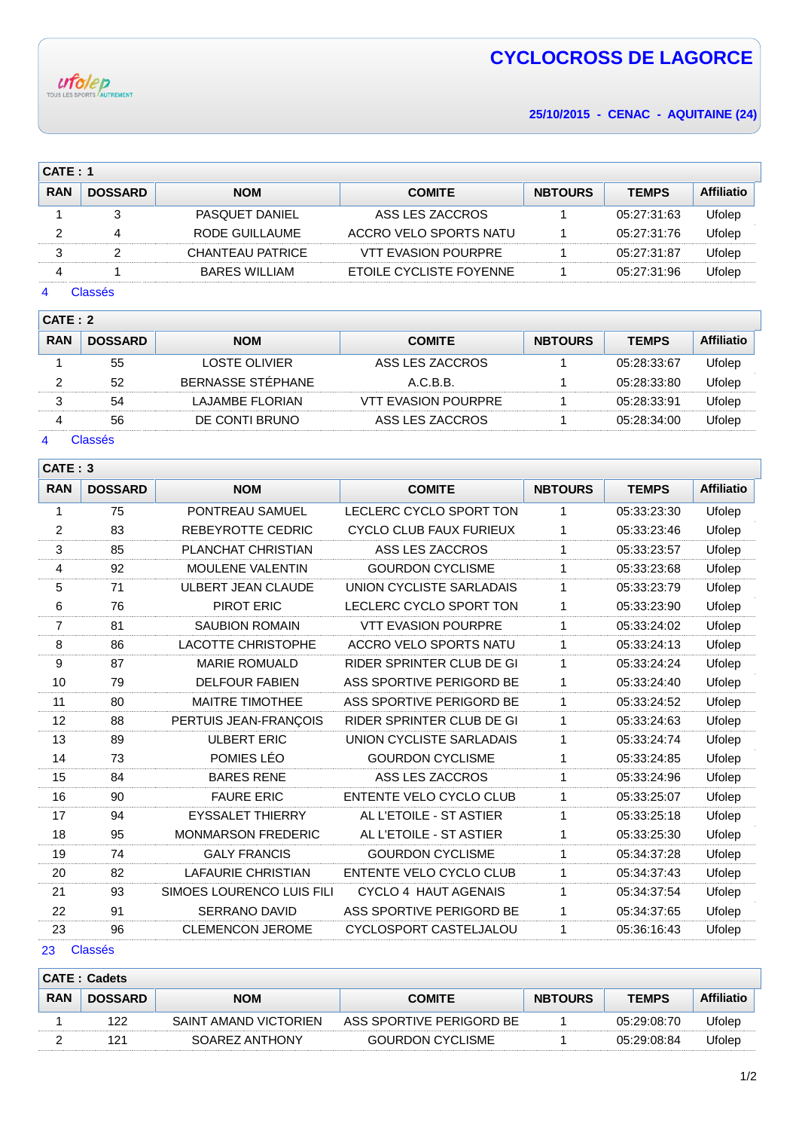

# **CYCLOCROSS DE LAGORCE**

**25/10/2015 - CENAC - AQUITAINE (24)**

| CATE: 1    |                |                       |                         |                |              |                   |  |  |
|------------|----------------|-----------------------|-------------------------|----------------|--------------|-------------------|--|--|
| <b>RAN</b> | <b>DOSSARD</b> | <b>NOM</b>            | <b>COMITE</b>           | <b>NBTOURS</b> | <b>TEMPS</b> | <b>Affiliatio</b> |  |  |
|            |                | <b>PASQUET DANIEL</b> | ASS LES ZACCROS         |                | 05:27:31:63  | Ufolep            |  |  |
|            |                | RODE GUILLAUME        | ACCRO VELO SPORTS NATU  |                | 05:27:31:76  | Ufolep            |  |  |
|            |                | CHANTEAU PATRICE      | VTT EVASION POURPRE     |                | 05:27:31:87  | Ufolep            |  |  |
|            |                | BARES WILLIAM         | ETOILE CYCLISTE FOYENNE |                | 05:27:31:96  | Ufolep            |  |  |

# Classés

| CATE: 2    |                |                   |                            |                |              |                   |  |  |
|------------|----------------|-------------------|----------------------------|----------------|--------------|-------------------|--|--|
| <b>RAN</b> | <b>DOSSARD</b> | <b>NOM</b>        | <b>COMITE</b>              | <b>NBTOURS</b> | <b>TEMPS</b> | <b>Affiliatio</b> |  |  |
|            | 55             | LOSTE OLIVIER     | ASS LES ZACCROS            |                | 05:28:33:67  | Ufolep            |  |  |
|            | 52             | BERNASSE STÉPHANE | A.C.B.B.                   |                | 05:28:33:80  | Ufolep            |  |  |
|            | 54             | LAJAMBE FLORIAN   | <b>VTT EVASION POURPRE</b> |                | 05:28:33:91  | Ufolep            |  |  |
| 4          | 56             | DE CONTI BRUNO    | ASS LES ZACCROS            |                | 05:28:34:00  | Ufolep            |  |  |

#### Classés

|                | CATE: 3        |                           |                                 |                |              |                   |  |  |  |
|----------------|----------------|---------------------------|---------------------------------|----------------|--------------|-------------------|--|--|--|
| <b>RAN</b>     | <b>DOSSARD</b> | <b>NOM</b>                | <b>COMITE</b>                   | <b>NBTOURS</b> | <b>TEMPS</b> | <b>Affiliatio</b> |  |  |  |
| 1              | 75             | PONTREAU SAMUEL           | LECLERC CYCLO SPORT TON         | 1              | 05:33:23:30  | Ufolep            |  |  |  |
| $\overline{2}$ | 83             | REBEYROTTE CEDRIC         | <b>CYCLO CLUB FAUX FURIEUX</b>  | 1              | 05:33:23:46  | Ufolep            |  |  |  |
| $\sqrt{3}$     | 85             | PLANCHAT CHRISTIAN        | ASS LES ZACCROS                 | 1              | 05:33:23:57  | Ufolep            |  |  |  |
| 4              | 92             | <b>MOULENE VALENTIN</b>   | <b>GOURDON CYCLISME</b>         | 1              | 05:33:23:68  | Ufolep            |  |  |  |
| 5              | 71             | <b>ULBERT JEAN CLAUDE</b> | UNION CYCLISTE SARLADAIS        | 1              | 05:33:23:79  | Ufolep            |  |  |  |
| 6              | 76             | PIROT ERIC                | LECLERC CYCLO SPORT TON         | 1              | 05:33:23:90  | Ufolep            |  |  |  |
| $\overline{7}$ | 81             | <b>SAUBION ROMAIN</b>     | <b>VTT EVASION POURPRE</b>      | 1              | 05:33:24:02  | Ufolep            |  |  |  |
| 8              | 86             | <b>LACOTTE CHRISTOPHE</b> | ACCRO VELO SPORTS NATU          | 1              | 05:33:24:13  | Ufolep            |  |  |  |
| 9              | 87             | <b>MARIE ROMUALD</b>      | RIDER SPRINTER CLUB DE GI       | $\mathbf{1}$   | 05:33:24:24  | Ufolep            |  |  |  |
| 10             | 79             | <b>DELFOUR FABIEN</b>     | ASS SPORTIVE PERIGORD BE        | $\mathbf{1}$   | 05:33:24:40  | Ufolep            |  |  |  |
| 11             | 80             | <b>MAITRE TIMOTHEE</b>    | ASS SPORTIVE PERIGORD BE        | $\mathbf{1}$   | 05:33:24:52  | Ufolep            |  |  |  |
| 12             | 88             | PERTUIS JEAN-FRANÇOIS     | RIDER SPRINTER CLUB DE GI       | $\mathbf{1}$   | 05:33:24:63  | Ufolep            |  |  |  |
| 13             | 89             | <b>ULBERT ERIC</b>        | <b>UNION CYCLISTE SARLADAIS</b> | 1              | 05:33:24:74  | Ufolep            |  |  |  |
| 14             | 73             | POMIES LÉO                | <b>GOURDON CYCLISME</b>         | 1              | 05:33:24:85  | Ufolep            |  |  |  |
| 15             | 84             | <b>BARES RENE</b>         | ASS LES ZACCROS                 | 1              | 05:33:24:96  | Ufolep            |  |  |  |
| 16             | 90             | <b>FAURE ERIC</b>         | ENTENTE VELO CYCLO CLUB         | 1              | 05:33:25:07  | Ufolep            |  |  |  |
| 17             | 94             | <b>EYSSALET THIERRY</b>   | AL L'ETOILE - ST ASTIER         | 1              | 05:33:25:18  | Ufolep            |  |  |  |
| 18             | 95             | <b>MONMARSON FREDERIC</b> | AL L'ETOILE - ST ASTIER         | 1              | 05:33:25:30  | Ufolep            |  |  |  |
| 19             | 74             | <b>GALY FRANCIS</b>       | <b>GOURDON CYCLISME</b>         | 1              | 05:34:37:28  | Ufolep            |  |  |  |
| 20             | 82             | <b>LAFAURIE CHRISTIAN</b> | ENTENTE VELO CYCLO CLUB         | 1              | 05:34:37:43  | Ufolep            |  |  |  |
| 21             | 93             | SIMOES LOURENCO LUIS FILI | CYCLO 4 HAUT AGENAIS            | 1              | 05:34:37:54  | Ufolep            |  |  |  |
| 22             | 91             | <b>SERRANO DAVID</b>      | ASS SPORTIVE PERIGORD BE        | 1              | 05:34:37:65  | Ufolep            |  |  |  |
| 23             | 96             | <b>CLEMENCON JEROME</b>   | CYCLOSPORT CASTELJALOU          | 1              | 05:36:16:43  | Ufolep            |  |  |  |
|                |                |                           |                                 |                |              |                   |  |  |  |

## Classés

| <b>CATE: Cadets</b> |                |                       |                          |                |              |                   |  |  |
|---------------------|----------------|-----------------------|--------------------------|----------------|--------------|-------------------|--|--|
| <b>RAN</b>          | <b>DOSSARD</b> | <b>NOM</b>            | <b>COMITE</b>            | <b>NBTOURS</b> | <b>TEMPS</b> | <b>Affiliatio</b> |  |  |
|                     | 122            | SAINT AMAND VICTORIEN | ASS SPORTIVE PERIGORD BE |                | 05:29:08:70  | Jfolep            |  |  |
|                     | 121            | SOAREZ ANTHONY        | <b>GOURDON CYCLISME</b>  |                | 05:29:08:84  | Jfolep            |  |  |